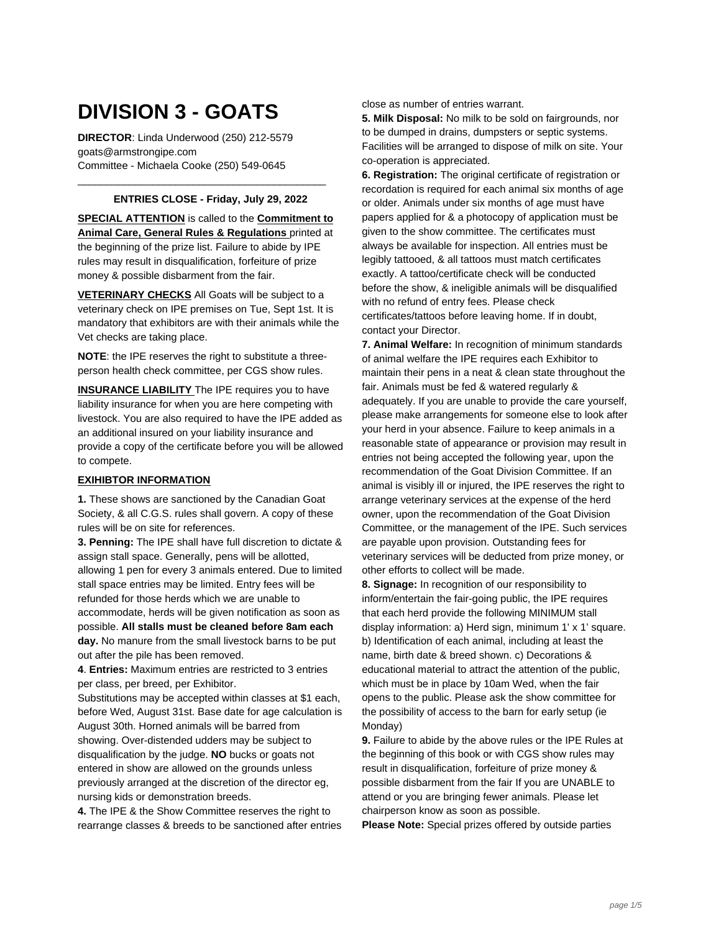# **DIVISION 3 - GOATS**

**DIRECTOR**: Linda Underwood (250) 212-5579 goats@armstrongipe.com Committee - Michaela Cooke (250) 549-0645

#### **ENTRIES CLOSE - Friday, July 29, 2022**

\_\_\_\_\_\_\_\_\_\_\_\_\_\_\_\_\_\_\_\_\_\_\_\_\_\_\_\_\_\_\_\_\_\_\_\_\_\_\_\_\_\_\_

**SPECIAL ATTENTION** is called to the **Commitment to Animal Care, General Rules & Regulations** printed at the beginning of the prize list. Failure to abide by IPE rules may result in disqualification, forfeiture of prize money & possible disbarment from the fair.

**VETERINARY CHECKS** All Goats will be subject to a veterinary check on IPE premises on Tue, Sept 1st. It is mandatory that exhibitors are with their animals while the Vet checks are taking place.

**NOTE**: the IPE reserves the right to substitute a threeperson health check committee, per CGS show rules.

**INSURANCE LIABILITY** The IPE requires you to have liability insurance for when you are here competing with livestock. You are also required to have the IPE added as an additional insured on your liability insurance and provide a copy of the certificate before you will be allowed to compete.

## **EXIHIBTOR INFORMATION**

**1.** These shows are sanctioned by the Canadian Goat Society, & all C.G.S. rules shall govern. A copy of these rules will be on site for references.

**3. Penning:** The IPE shall have full discretion to dictate & assign stall space. Generally, pens will be allotted, allowing 1 pen for every 3 animals entered. Due to limited stall space entries may be limited. Entry fees will be refunded for those herds which we are unable to accommodate, herds will be given notification as soon as possible. **All stalls must be cleaned before 8am each day.** No manure from the small livestock barns to be put out after the pile has been removed.

**4**. **Entries:** Maximum entries are restricted to 3 entries per class, per breed, per Exhibitor.

Substitutions may be accepted within classes at \$1 each, before Wed, August 31st. Base date for age calculation is August 30th. Horned animals will be barred from showing. Over-distended udders may be subject to disqualification by the judge. **NO** bucks or goats not entered in show are allowed on the grounds unless previously arranged at the discretion of the director eg, nursing kids or demonstration breeds.

**4.** The IPE & the Show Committee reserves the right to rearrange classes & breeds to be sanctioned after entries close as number of entries warrant.

**5. Milk Disposal:** No milk to be sold on fairgrounds, nor to be dumped in drains, dumpsters or septic systems. Facilities will be arranged to dispose of milk on site. Your co-operation is appreciated.

**6. Registration:** The original certificate of registration or recordation is required for each animal six months of age or older. Animals under six months of age must have papers applied for & a photocopy of application must be given to the show committee. The certificates must always be available for inspection. All entries must be legibly tattooed, & all tattoos must match certificates exactly. A tattoo/certificate check will be conducted before the show, & ineligible animals will be disqualified with no refund of entry fees. Please check certificates/tattoos before leaving home. If in doubt, contact your Director.

**7. Animal Welfare:** In recognition of minimum standards of animal welfare the IPE requires each Exhibitor to maintain their pens in a neat & clean state throughout the fair. Animals must be fed & watered regularly & adequately. If you are unable to provide the care yourself, please make arrangements for someone else to look after your herd in your absence. Failure to keep animals in a reasonable state of appearance or provision may result in entries not being accepted the following year, upon the recommendation of the Goat Division Committee. If an animal is visibly ill or injured, the IPE reserves the right to arrange veterinary services at the expense of the herd owner, upon the recommendation of the Goat Division Committee, or the management of the IPE. Such services are payable upon provision. Outstanding fees for veterinary services will be deducted from prize money, or other efforts to collect will be made.

**8. Signage:** In recognition of our responsibility to inform/entertain the fair-going public, the IPE requires that each herd provide the following MINIMUM stall display information: a) Herd sign, minimum 1' x 1' square. b) Identification of each animal, including at least the name, birth date & breed shown. c) Decorations & educational material to attract the attention of the public, which must be in place by 10am Wed, when the fair opens to the public. Please ask the show committee for the possibility of access to the barn for early setup (ie Monday)

**9.** Failure to abide by the above rules or the IPE Rules at the beginning of this book or with CGS show rules may result in disqualification, forfeiture of prize money & possible disbarment from the fair If you are UNABLE to attend or you are bringing fewer animals. Please let chairperson know as soon as possible.

**Please Note:** Special prizes offered by outside parties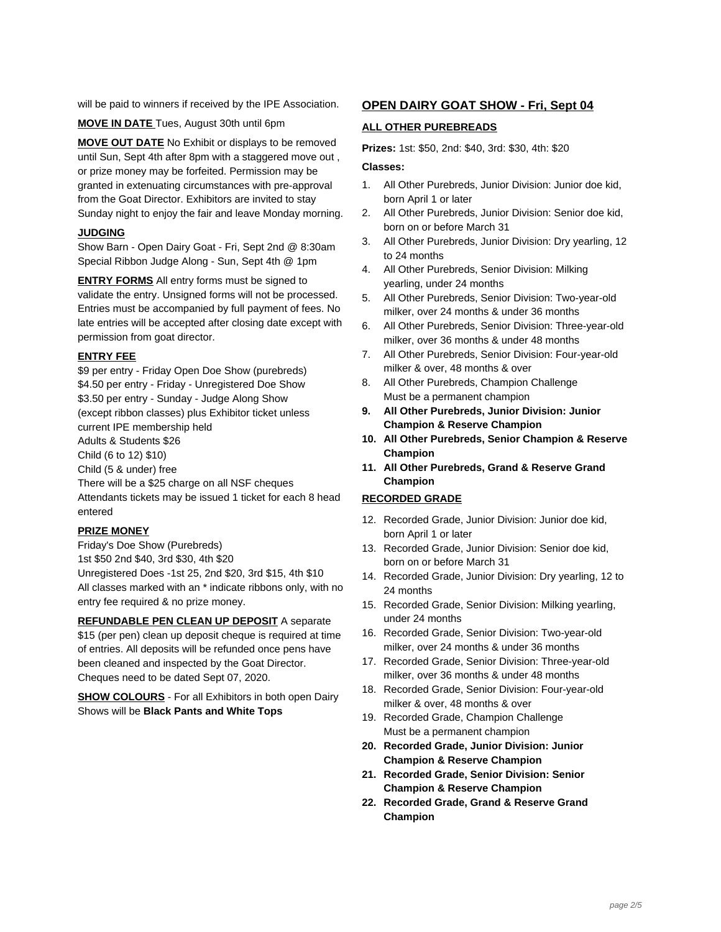will be paid to winners if received by the IPE Association.

**MOVE IN DATE** Tues, August 30th until 6pm

**MOVE OUT DATE** No Exhibit or displays to be removed until Sun, Sept 4th after 8pm with a staggered move out , or prize money may be forfeited. Permission may be granted in extenuating circumstances with pre-approval from the Goat Director. Exhibitors are invited to stay Sunday night to enjoy the fair and leave Monday morning.

## **JUDGING**

Show Barn - Open Dairy Goat - Fri, Sept 2nd @ 8:30am Special Ribbon Judge Along - Sun, Sept 4th @ 1pm

**ENTRY FORMS** All entry forms must be signed to validate the entry. Unsigned forms will not be processed. Entries must be accompanied by full payment of fees. No late entries will be accepted after closing date except with permission from goat director.

#### **ENTRY FEE**

\$9 per entry - Friday Open Doe Show (purebreds) \$4.50 per entry - Friday - Unregistered Doe Show \$3.50 per entry - Sunday - Judge Along Show (except ribbon classes) plus Exhibitor ticket unless current IPE membership held Adults & Students \$26 Child (6 to 12) \$10) Child (5 & under) free There will be a \$25 charge on all NSF cheques Attendants tickets may be issued 1 ticket for each 8 head entered

## **PRIZE MONEY**

Friday's Doe Show (Purebreds)

1st \$50 2nd \$40, 3rd \$30, 4th \$20

Unregistered Does -1st 25, 2nd \$20, 3rd \$15, 4th \$10 All classes marked with an \* indicate ribbons only, with no entry fee required & no prize money.

**REFUNDABLE PEN CLEAN UP DEPOSIT** A separate \$15 (per pen) clean up deposit cheque is required at time of entries. All deposits will be refunded once pens have been cleaned and inspected by the Goat Director. Cheques need to be dated Sept 07, 2020.

**SHOW COLOURS** - For all Exhibitors in both open Dairy Shows will be **Black Pants and White Tops**

## **OPEN DAIRY GOAT SHOW - Fri, Sept 04**

#### **ALL OTHER PUREBREADS**

**Prizes:** 1st: \$50, 2nd: \$40, 3rd: \$30, 4th: \$20

#### **Classes:**

- 1. All Other Purebreds, Junior Division: Junior doe kid, born April 1 or later
- 2. All Other Purebreds, Junior Division: Senior doe kid, born on or before March 31
- 3. All Other Purebreds, Junior Division: Dry yearling, 12 to 24 months
- 4. All Other Purebreds, Senior Division: Milking yearling, under 24 months
- 5. All Other Purebreds, Senior Division: Two-year-old milker, over 24 months & under 36 months
- 6. All Other Purebreds, Senior Division: Three-year-old milker, over 36 months & under 48 months
- 7. All Other Purebreds, Senior Division: Four-year-old milker & over, 48 months & over
- 8. All Other Purebreds, Champion Challenge Must be a permanent champion
- **9. All Other Purebreds, Junior Division: Junior Champion & Reserve Champion**
- **10. All Other Purebreds, Senior Champion & Reserve Champion**
- **11. All Other Purebreds, Grand & Reserve Grand Champion**

# **RECORDED GRADE**

- 12. Recorded Grade, Junior Division: Junior doe kid, born April 1 or later
- 13. Recorded Grade, Junior Division: Senior doe kid, born on or before March 31
- 14. Recorded Grade, Junior Division: Dry yearling, 12 to 24 months
- 15. Recorded Grade, Senior Division: Milking yearling, under 24 months
- 16. Recorded Grade, Senior Division: Two-year-old milker, over 24 months & under 36 months
- 17. Recorded Grade, Senior Division: Three-year-old milker, over 36 months & under 48 months
- 18. Recorded Grade, Senior Division: Four-year-old milker & over, 48 months & over
- 19. Recorded Grade, Champion Challenge Must be a permanent champion
- **20. Recorded Grade, Junior Division: Junior Champion & Reserve Champion**
- **21. Recorded Grade, Senior Division: Senior Champion & Reserve Champion**
- **22. Recorded Grade, Grand & Reserve Grand Champion**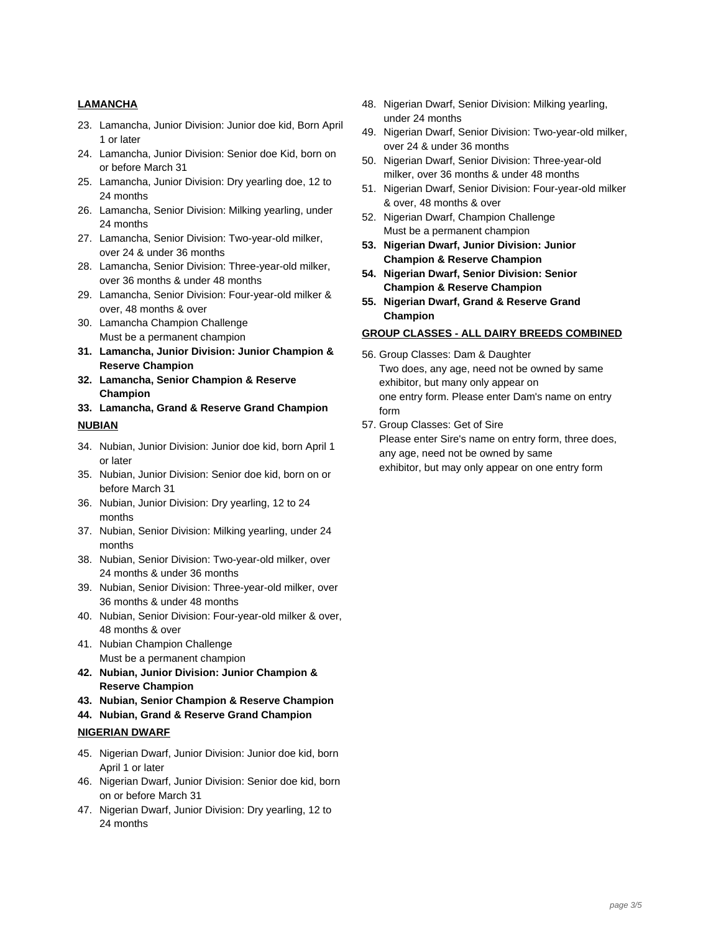## **LAMANCHA**

- 23. Lamancha, Junior Division: Junior doe kid, Born April 1 or later
- 24. Lamancha, Junior Division: Senior doe Kid, born on or before March 31
- 25. Lamancha, Junior Division: Dry yearling doe, 12 to 24 months
- 26. Lamancha, Senior Division: Milking yearling, under 24 months
- 27. Lamancha, Senior Division: Two-year-old milker, over 24 & under 36 months
- 28. Lamancha, Senior Division: Three-year-old milker, over 36 months & under 48 months
- 29. Lamancha, Senior Division: Four-year-old milker & over, 48 months & over
- 30. Lamancha Champion Challenge Must be a permanent champion
- **31. Lamancha, Junior Division: Junior Champion & Reserve Champion**
- **32. Lamancha, Senior Champion & Reserve Champion**
- **33. Lamancha, Grand & Reserve Grand Champion**

## **NUBIAN**

- 34. Nubian, Junior Division: Junior doe kid, born April 1 or later
- 35. Nubian, Junior Division: Senior doe kid, born on or before March 31
- 36. Nubian, Junior Division: Dry yearling, 12 to 24 months
- 37. Nubian, Senior Division: Milking yearling, under 24 months
- 38. Nubian, Senior Division: Two-year-old milker, over 24 months & under 36 months
- 39. Nubian, Senior Division: Three-year-old milker, over 36 months & under 48 months
- 40. Nubian, Senior Division: Four-year-old milker & over, 48 months & over
- 41. Nubian Champion Challenge Must be a permanent champion
- **42. Nubian, Junior Division: Junior Champion & Reserve Champion**
- **43. Nubian, Senior Champion & Reserve Champion**
- **44. Nubian, Grand & Reserve Grand Champion**

## **NIGERIAN DWARF**

- 45. Nigerian Dwarf, Junior Division: Junior doe kid, born April 1 or later
- 46. Nigerian Dwarf, Junior Division: Senior doe kid, born on or before March 31
- 47. Nigerian Dwarf, Junior Division: Dry yearling, 12 to 24 months
- 48. Nigerian Dwarf, Senior Division: Milking yearling, under 24 months
- 49. Nigerian Dwarf, Senior Division: Two-year-old milker, over 24 & under 36 months
- 50. Nigerian Dwarf, Senior Division: Three-year-old milker, over 36 months & under 48 months
- 51. Nigerian Dwarf, Senior Division: Four-year-old milker & over, 48 months & over
- 52. Nigerian Dwarf, Champion Challenge Must be a permanent champion
- **53. Nigerian Dwarf, Junior Division: Junior Champion & Reserve Champion**
- **54. Nigerian Dwarf, Senior Division: Senior Champion & Reserve Champion**
- **55. Nigerian Dwarf, Grand & Reserve Grand Champion**

#### **GROUP CLASSES - ALL DAIRY BREEDS COMBINED**

- 56. Group Classes: Dam & Daughter Two does, any age, need not be owned by same exhibitor, but many only appear on one entry form. Please enter Dam's name on entry form
- 57. Group Classes: Get of Sire Please enter Sire's name on entry form, three does, any age, need not be owned by same exhibitor, but may only appear on one entry form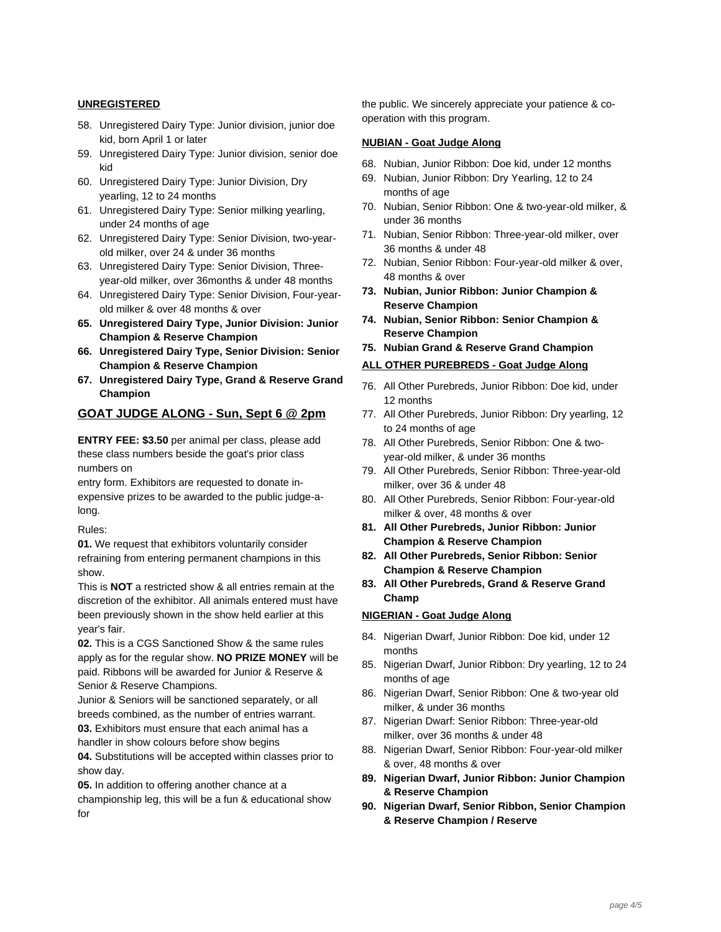## **UNREGISTERED**

- 58. Unregistered Dairy Type: Junior division, junior doe kid, born April 1 or later
- 59. Unregistered Dairy Type: Junior division, senior doe kid
- 60. Unregistered Dairy Type: Junior Division, Dry yearling, 12 to 24 months
- 61. Unregistered Dairy Type: Senior milking yearling, under 24 months of age
- 62. Unregistered Dairy Type: Senior Division, two-yearold milker, over 24 & under 36 months
- 63. Unregistered Dairy Type: Senior Division, Threeyear-old milker, over 36months & under 48 months
- 64. Unregistered Dairy Type: Senior Division, Four-yearold milker & over 48 months & over
- **65. Unregistered Dairy Type, Junior Division: Junior Champion & Reserve Champion**
- **66. Unregistered Dairy Type, Senior Division: Senior Champion & Reserve Champion**
- **67. Unregistered Dairy Type, Grand & Reserve Grand Champion**

## **GOAT JUDGE ALONG - Sun, Sept 6 @ 2pm**

**ENTRY FEE: \$3.50** per animal per class, please add these class numbers beside the goat's prior class numbers on

entry form. Exhibitors are requested to donate inexpensive prizes to be awarded to the public judge-along.

#### Rules:

**01.** We request that exhibitors voluntarily consider refraining from entering permanent champions in this show.

This is **NOT** a restricted show & all entries remain at the discretion of the exhibitor. All animals entered must have been previously shown in the show held earlier at this year's fair.

**02.** This is a CGS Sanctioned Show & the same rules apply as for the regular show. **NO PRIZE MONEY** will be paid. Ribbons will be awarded for Junior & Reserve & Senior & Reserve Champions.

Junior & Seniors will be sanctioned separately, or all breeds combined, as the number of entries warrant. **03.** Exhibitors must ensure that each animal has a

handler in show colours before show begins

**04.** Substitutions will be accepted within classes prior to show day.

**05.** In addition to offering another chance at a championship leg, this will be a fun & educational show for

the public. We sincerely appreciate your patience & cooperation with this program.

## **NUBIAN - Goat Judge Along**

- 68. Nubian, Junior Ribbon: Doe kid, under 12 months
- 69. Nubian, Junior Ribbon: Dry Yearling, 12 to 24 months of age
- 70. Nubian, Senior Ribbon: One & two-year-old milker, & under 36 months
- 71. Nubian, Senior Ribbon: Three-year-old milker, over 36 months & under 48
- 72. Nubian, Senior Ribbon: Four-year-old milker & over, 48 months & over
- **73. Nubian, Junior Ribbon: Junior Champion & Reserve Champion**
- **74. Nubian, Senior Ribbon: Senior Champion & Reserve Champion**
- **75. Nubian Grand & Reserve Grand Champion**

#### **ALL OTHER PUREBREDS - Goat Judge Along**

- 76. All Other Purebreds, Junior Ribbon: Doe kid, under 12 months
- 77. All Other Purebreds, Junior Ribbon: Dry yearling, 12 to 24 months of age
- 78. All Other Purebreds, Senior Ribbon: One & twoyear-old milker, & under 36 months
- 79. All Other Purebreds, Senior Ribbon: Three-year-old milker, over 36 & under 48
- 80. All Other Purebreds, Senior Ribbon: Four-year-old milker & over, 48 months & over
- **81. All Other Purebreds, Junior Ribbon: Junior Champion & Reserve Champion**
- **82. All Other Purebreds, Senior Ribbon: Senior Champion & Reserve Champion**
- **83. All Other Purebreds, Grand & Reserve Grand Champ**

## **NIGERIAN - Goat Judge Along**

- 84. Nigerian Dwarf, Junior Ribbon: Doe kid, under 12 months
- 85. Nigerian Dwarf, Junior Ribbon: Dry yearling, 12 to 24 months of age
- 86. Nigerian Dwarf, Senior Ribbon: One & two-year old milker, & under 36 months
- 87. Nigerian Dwarf: Senior Ribbon: Three-year-old milker, over 36 months & under 48
- 88. Nigerian Dwarf, Senior Ribbon: Four-year-old milker & over, 48 months & over
- **89. Nigerian Dwarf, Junior Ribbon: Junior Champion & Reserve Champion**
- **90. Nigerian Dwarf, Senior Ribbon, Senior Champion & Reserve Champion / Reserve**